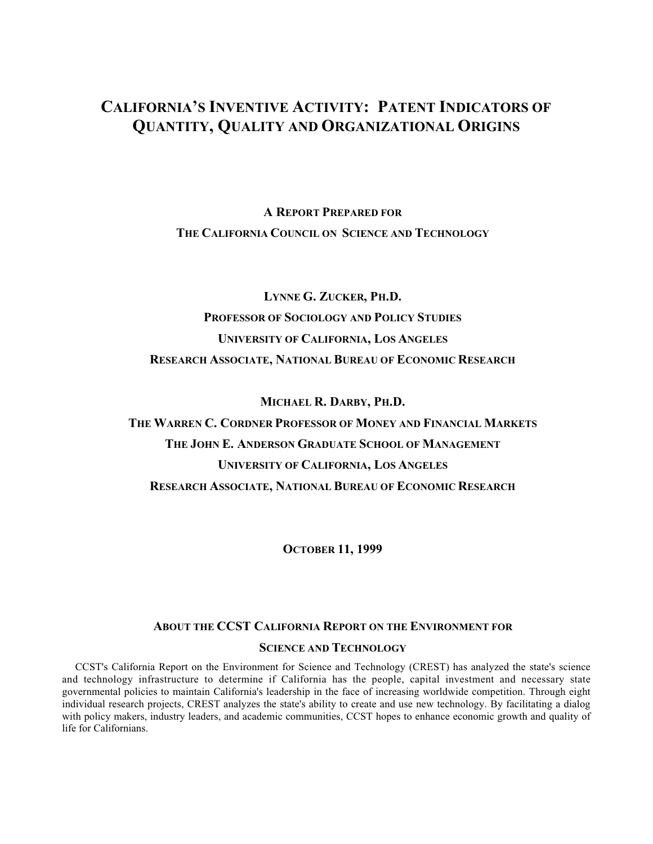# **CALIFORNIA'S INVENTIVE ACTIVITY: PATENT INDICATORS OF QUANTITY, QUALITY AND ORGANIZATIONAL ORIGINS**

**A REPORT PREPARED FOR THE CALIFORNIA COUNCIL ON SCIENCE AND TECHNOLOGY**

**LYNNE G. ZUCKER, PH.D. PROFESSOR OF SOCIOLOGY AND POLICY STUDIES UNIVERSITY OF CALIFORNIA, LOS ANGELES RESEARCH ASSOCIATE, NATIONAL BUREAU OF ECONOMIC RESEARCH**

**MICHAEL R. DARBY, PH.D.**

**THE WARREN C. CORDNER PROFESSOR OF MONEY AND FINANCIAL MARKETS THE JOHN E. ANDERSON GRADUATE SCHOOL OF MANAGEMENT UNIVERSITY OF CALIFORNIA, LOS ANGELES RESEARCH ASSOCIATE, NATIONAL BUREAU OF ECONOMIC RESEARCH**

**OCTOBER 11, 1999**

# **ABOUT THE CCST CALIFORNIA REPORT ON THE ENVIRONMENT FOR SCIENCE AND TECHNOLOGY**

CCST's California Report on the Environment for Science and Technology (CREST) has analyzed the state's science and technology infrastructure to determine if California has the people, capital investment and necessary state governmental policies to maintain California's leadership in the face of increasing worldwide competition. Through eight individual research projects, CREST analyzes the state's ability to create and use new technology. By facilitating a dialog with policy makers, industry leaders, and academic communities, CCST hopes to enhance economic growth and quality of life for Californians.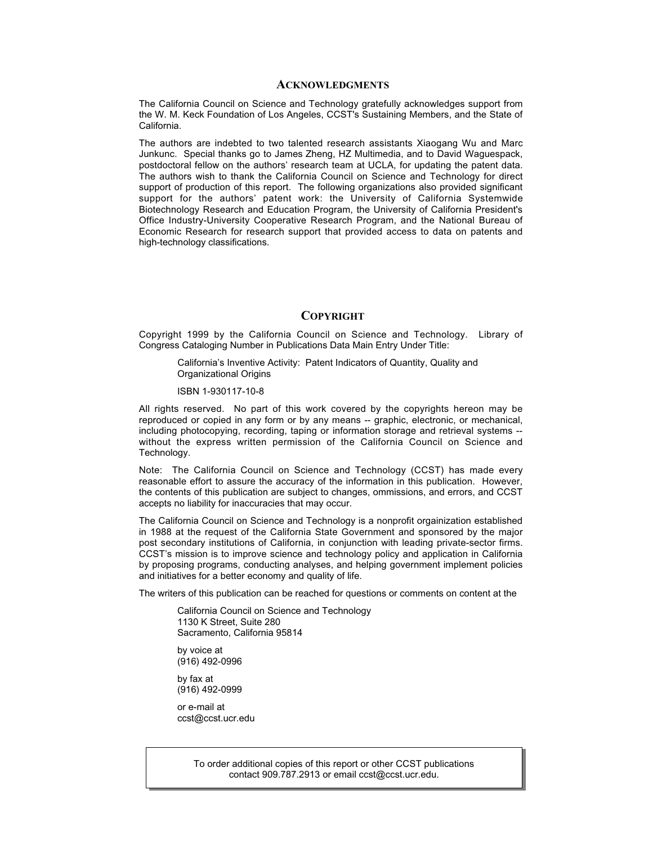#### **ACKNOWLEDGMENTS**

The California Council on Science and Technology gratefully acknowledges support from the W. M. Keck Foundation of Los Angeles, CCST's Sustaining Members, and the State of California.

The authors are indebted to two talented research assistants Xiaogang Wu and Marc Junkunc. Special thanks go to James Zheng, HZ Multimedia, and to David Waguespack, postdoctoral fellow on the authors' research team at UCLA, for updating the patent data. The authors wish to thank the California Council on Science and Technology for direct support of production of this report. The following organizations also provided significant support for the authors' patent work: the University of California Systemwide Biotechnology Research and Education Program, the University of California President's Office Industry-University Cooperative Research Program, and the National Bureau of Economic Research for research support that provided access to data on patents and high-technology classifications.

### **COPYRIGHT**

Copyright 1999 by the California Council on Science and Technology. Library of Congress Cataloging Number in Publications Data Main Entry Under Title:

California's Inventive Activity: Patent Indicators of Quantity, Quality and Organizational Origins

#### ISBN 1-930117-10-8

All rights reserved. No part of this work covered by the copyrights hereon may be reproduced or copied in any form or by any means -- graphic, electronic, or mechanical, including photocopying, recording, taping or information storage and retrieval systems - without the express written permission of the California Council on Science and Technology.

Note: The California Council on Science and Technology (CCST) has made every reasonable effort to assure the accuracy of the information in this publication. However, the contents of this publication are subject to changes, ommissions, and errors, and CCST accepts no liability for inaccuracies that may occur.

The California Council on Science and Technology is a nonprofit orgainization established in 1988 at the request of the California State Government and sponsored by the major post secondary institutions of California, in conjunction with leading private-sector firms. CCST's mission is to improve science and technology policy and application in California by proposing programs, conducting analyses, and helping government implement policies and initiatives for a better economy and quality of life.

The writers of this publication can be reached for questions or comments on content at the

California Council on Science and Technology 1130 K Street, Suite 280 Sacramento, California 95814

by voice at (916) 492-0996

by fax at (916) 492-0999

or e-mail at ccst@ccst.ucr.edu

> To order additional copies of this report or other CCST publications contact 909.787.2913 or email ccst@ccst.ucr.edu.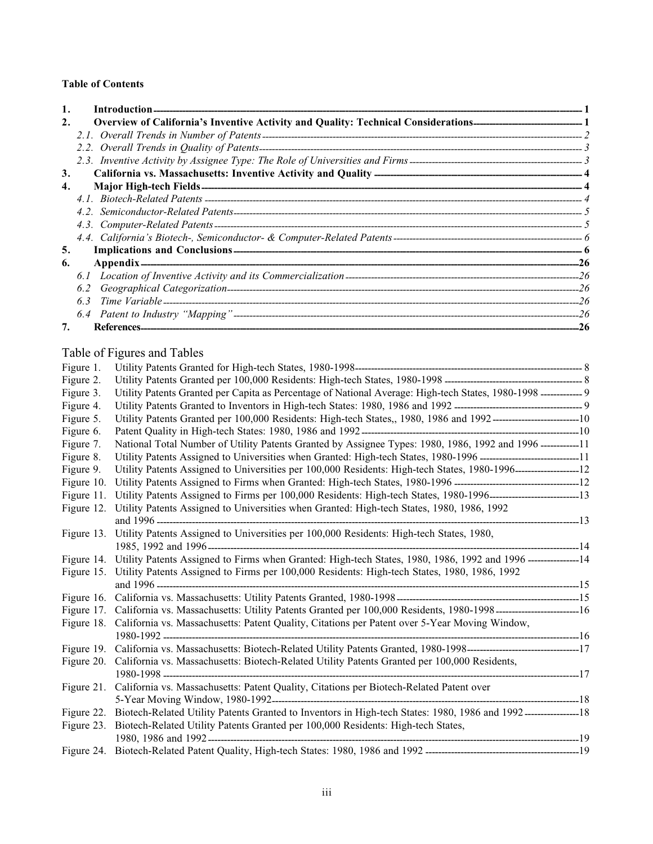# **Table of Contents**

|    | Introduction-                        |  |
|----|--------------------------------------|--|
| 2. |                                      |  |
|    |                                      |  |
|    |                                      |  |
|    |                                      |  |
| 3. |                                      |  |
| 4. |                                      |  |
|    |                                      |  |
|    |                                      |  |
|    |                                      |  |
|    |                                      |  |
| 5. | <b>Implications and Conclusions-</b> |  |
| 6. |                                      |  |
|    |                                      |  |
|    |                                      |  |
|    | 6.3                                  |  |
|    |                                      |  |
|    |                                      |  |

# Table of Figures and Tables

| Figure 1.  |                                                                                                                             |  |
|------------|-----------------------------------------------------------------------------------------------------------------------------|--|
| Figure 2.  |                                                                                                                             |  |
| Figure 3.  | Utility Patents Granted per Capita as Percentage of National Average: High-tech States, 1980-1998 ------------ 9            |  |
| Figure 4.  |                                                                                                                             |  |
| Figure 5.  | Utility Patents Granted per 100,000 Residents: High-tech States,, 1980, 1986 and 1992-------------------------10            |  |
| Figure 6.  |                                                                                                                             |  |
| Figure 7.  | National Total Number of Utility Patents Granted by Assignee Types: 1980, 1986, 1992 and 1996 ------------11                |  |
| Figure 8.  | Utility Patents Assigned to Universities when Granted: High-tech States, 1980-1996 ---------------------------------11      |  |
| Figure 9.  | Utility Patents Assigned to Universities per 100,000 Residents: High-tech States, 1980-1996------------------------12       |  |
| Figure 10. |                                                                                                                             |  |
| Figure 11. | Utility Patents Assigned to Firms per 100,000 Residents: High-tech States, 1980-1996--------------------------13            |  |
| Figure 12. | Utility Patents Assigned to Universities when Granted: High-tech States, 1980, 1986, 1992                                   |  |
|            |                                                                                                                             |  |
| Figure 13. | Utility Patents Assigned to Universities per 100,000 Residents: High-tech States, 1980,                                     |  |
|            |                                                                                                                             |  |
| Figure 14. | Utility Patents Assigned to Firms when Granted: High-tech States, 1980, 1986, 1992 and 1996 ----------------14              |  |
| Figure 15. | Utility Patents Assigned to Firms per 100,000 Residents: High-tech States, 1980, 1986, 1992                                 |  |
|            |                                                                                                                             |  |
| Figure 16. |                                                                                                                             |  |
|            |                                                                                                                             |  |
| Figure 18. | California vs. Massachusetts: Patent Quality, Citations per Patent over 5-Year Moving Window,                               |  |
|            |                                                                                                                             |  |
|            |                                                                                                                             |  |
| Figure 20. | California vs. Massachusetts: Biotech-Related Utility Patents Granted per 100,000 Residents,                                |  |
|            |                                                                                                                             |  |
| Figure 21. | California vs. Massachusetts: Patent Quality, Citations per Biotech-Related Patent over                                     |  |
|            |                                                                                                                             |  |
|            | Figure 22. Biotech-Related Utility Patents Granted to Inventors in High-tech States: 1980, 1986 and 1992-----------------18 |  |
| Figure 23. | Biotech-Related Utility Patents Granted per 100,000 Residents: High-tech States,                                            |  |
|            |                                                                                                                             |  |
|            |                                                                                                                             |  |
|            |                                                                                                                             |  |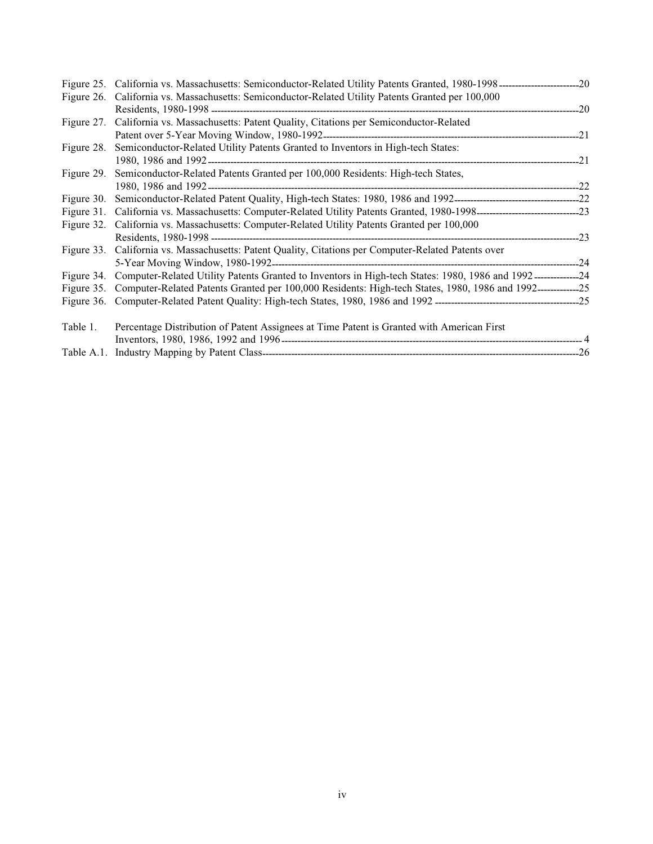|            | Figure 26. California vs. Massachusetts: Semiconductor-Related Utility Patents Granted per 100,000                         |  |
|------------|----------------------------------------------------------------------------------------------------------------------------|--|
|            |                                                                                                                            |  |
|            | Figure 27. California vs. Massachusetts: Patent Quality, Citations per Semiconductor-Related                               |  |
|            |                                                                                                                            |  |
| Figure 28. | Semiconductor-Related Utility Patents Granted to Inventors in High-tech States:                                            |  |
|            |                                                                                                                            |  |
| Figure 29. | Semiconductor-Related Patents Granted per 100,000 Residents: High-tech States,                                             |  |
|            |                                                                                                                            |  |
|            |                                                                                                                            |  |
|            |                                                                                                                            |  |
|            | Figure 32. California vs. Massachusetts: Computer-Related Utility Patents Granted per 100,000                              |  |
|            |                                                                                                                            |  |
|            | Figure 33. California vs. Massachusetts: Patent Quality, Citations per Computer-Related Patents over                       |  |
|            |                                                                                                                            |  |
|            | Figure 34. Computer-Related Utility Patents Granted to Inventors in High-tech States: 1980, 1986 and 1992---------------24 |  |
|            | Figure 35. Computer-Related Patents Granted per 100,000 Residents: High-tech States, 1980, 1986 and 1992---------------25  |  |
|            |                                                                                                                            |  |
| Table 1.   | Percentage Distribution of Patent Assignees at Time Patent is Granted with American First                                  |  |
|            |                                                                                                                            |  |
|            |                                                                                                                            |  |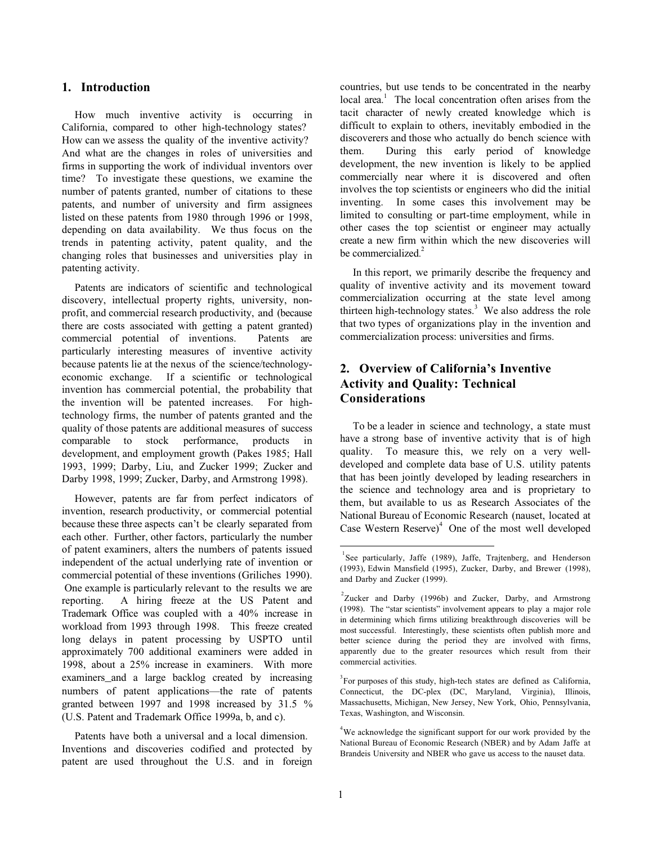# **1. Introduction**

How much inventive activity is occurring in California, compared to other high-technology states? How can we assess the quality of the inventive activity? And what are the changes in roles of universities and firms in supporting the work of individual inventors over time? To investigate these questions, we examine the number of patents granted, number of citations to these patents, and number of university and firm assignees listed on these patents from 1980 through 1996 or 1998, depending on data availability. We thus focus on the trends in patenting activity, patent quality, and the changing roles that businesses and universities play in patenting activity.

Patents are indicators of scientific and technological discovery, intellectual property rights, university, nonprofit, and commercial research productivity, and (because there are costs associated with getting a patent granted) commercial potential of inventions. Patents are particularly interesting measures of inventive activity because patents lie at the nexus of the science/technologyeconomic exchange. If a scientific or technological invention has commercial potential, the probability that the invention will be patented increases. For hightechnology firms, the number of patents granted and the quality of those patents are additional measures of success comparable to stock performance, products in development, and employment growth (Pakes 1985; Hall 1993, 1999; Darby, Liu, and Zucker 1999; Zucker and Darby 1998, 1999; Zucker, Darby, and Armstrong 1998).

However, patents are far from perfect indicators of invention, research productivity, or commercial potential because these three aspects can't be clearly separated from each other. Further, other factors, particularly the number of patent examiners, alters the numbers of patents issued independent of the actual underlying rate of invention or commercial potential of these inventions (Griliches 1990). One example is particularly relevant to the results we are reporting. A hiring freeze at the US Patent and Trademark Office was coupled with a 40% increase in workload from 1993 through 1998. This freeze created long delays in patent processing by USPTO until approximately 700 additional examiners were added in 1998, about a 25% increase in examiners. With more examiners and a large backlog created by increasing numbers of patent applications—the rate of patents granted between 1997 and 1998 increased by 31.5 % (U.S. Patent and Trademark Office 1999a, b, and c).

Patents have both a universal and a local dimension. Inventions and discoveries codified and protected by patent are used throughout the U.S. and in foreign countries, but use tends to be concentrated in the nearby  $local area.<sup>1</sup>$  The local concentration often arises from the tacit character of newly created knowledge which is difficult to explain to others, inevitably embodied in the discoverers and those who actually do bench science with them. During this early period of knowledge development, the new invention is likely to be applied commercially near where it is discovered and often involves the top scientists or engineers who did the initial inventing. In some cases this involvement may be limited to consulting or part-time employment, while in other cases the top scientist or engineer may actually create a new firm within which the new discoveries will be commercialized.<sup>2</sup>

In this report, we primarily describe the frequency and quality of inventive activity and its movement toward commercialization occurring at the state level among thirteen high-technology states.<sup>3</sup> We also address the role that two types of organizations play in the invention and commercialization process: universities and firms.

# **2. Overview of California's Inventive Activity and Quality: Technical Considerations**

To be a leader in science and technology, a state must have a strong base of inventive activity that is of high quality. To measure this, we rely on a very welldeveloped and complete data base of U.S. utility patents that has been jointly developed by leading researchers in the science and technology area and is proprietary to them, but available to us as Research Associates of the National Bureau of Economic Research (nauset, located at Case Western  $Reserve)^4$  One of the most well developed

 $\overline{a}$ 

<sup>&</sup>lt;sup>1</sup>See particularly, Jaffe (1989), Jaffe, Trajtenberg, and Henderson (1993), Edwin Mansfield (1995), Zucker, Darby, and Brewer (1998), and Darby and Zucker (1999).

 $2$ Zucker and Darby (1996b) and Zucker, Darby, and Armstrong (1998). The "star scientists" involvement appears to play a major role in determining which firms utilizing breakthrough discoveries will be most successful. Interestingly, these scientists often publish more and better science during the period they are involved with firms, apparently due to the greater resources which result from their commercial activities.

<sup>&</sup>lt;sup>3</sup> For purposes of this study, high-tech states are defined as California, Connecticut, the DC-plex (DC, Maryland, Virginia), Illinois, Massachusetts, Michigan, New Jersey, New York, Ohio, Pennsylvania, Texas, Washington, and Wisconsin.

<sup>&</sup>lt;sup>4</sup>We acknowledge the significant support for our work provided by the National Bureau of Economic Research (NBER) and by Adam Jaffe at Brandeis University and NBER who gave us access to the nauset data.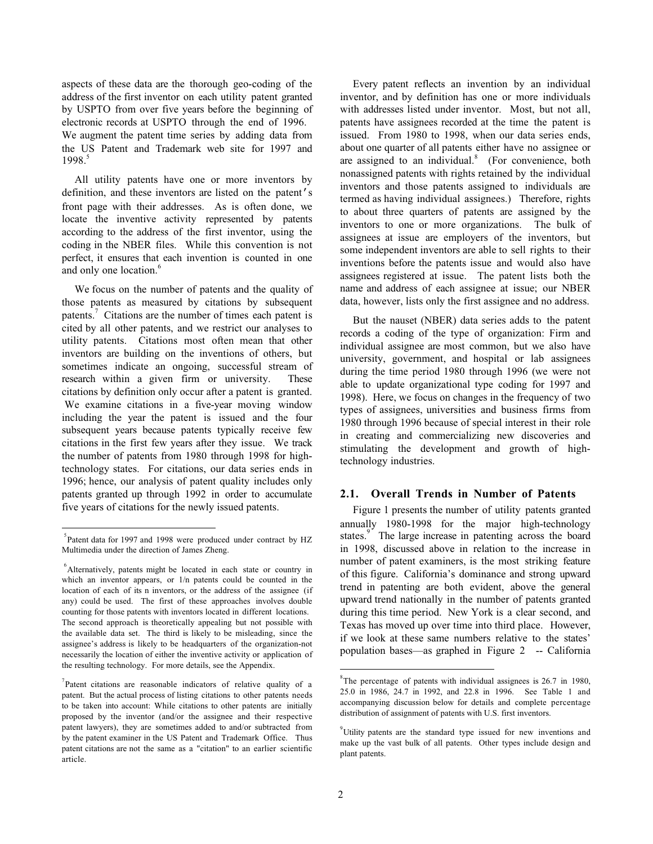aspects of these data are the thorough geo-coding of the address of the first inventor on each utility patent granted by USPTO from over five years before the beginning of electronic records at USPTO through the end of 1996. We augment the patent time series by adding data from the US Patent and Trademark web site for 1997 and  $1998.<sup>5</sup>$ 

All utility patents have one or more inventors by definition, and these inventors are listed on the patent's front page with their addresses. As is often done, we locate the inventive activity represented by patents according to the address of the first inventor, using the coding in the NBER files. While this convention is not perfect, it ensures that each invention is counted in one and only one location.<sup>6</sup>

We focus on the number of patents and the quality of those patents as measured by citations by subsequent patents.<sup>7</sup> Citations are the number of times each patent is cited by all other patents, and we restrict our analyses to utility patents. Citations most often mean that other inventors are building on the inventions of others, but sometimes indicate an ongoing, successful stream of research within a given firm or university. These citations by definition only occur after a patent is granted. We examine citations in a five-year moving window including the year the patent is issued and the four subsequent years because patents typically receive few citations in the first few years after they issue. We track the number of patents from 1980 through 1998 for hightechnology states. For citations, our data series ends in 1996; hence, our analysis of patent quality includes only patents granted up through 1992 in order to accumulate five years of citations for the newly issued patents.

 $\overline{a}$ 

Every patent reflects an invention by an individual inventor, and by definition has one or more individuals with addresses listed under inventor. Most, but not all, patents have assignees recorded at the time the patent is issued. From 1980 to 1998, when our data series ends, about one quarter of all patents either have no assignee or are assigned to an individual. $8$  (For convenience, both nonassigned patents with rights retained by the individual inventors and those patents assigned to individuals are termed as having individual assignees.) Therefore, rights to about three quarters of patents are assigned by the inventors to one or more organizations. The bulk of assignees at issue are employers of the inventors, but some independent inventors are able to sell rights to their inventions before the patents issue and would also have assignees registered at issue. The patent lists both the name and address of each assignee at issue; our NBER data, however, lists only the first assignee and no address.

But the nauset (NBER) data series adds to the patent records a coding of the type of organization: Firm and individual assignee are most common, but we also have university, government, and hospital or lab assignees during the time period 1980 through 1996 (we were not able to update organizational type coding for 1997 and 1998). Here, we focus on changes in the frequency of two types of assignees, universities and business firms from 1980 through 1996 because of special interest in their role in creating and commercializing new discoveries and stimulating the development and growth of hightechnology industries.

### **2.1. Overall Trends in Number of Patents**

Figure 1 presents the number of utility patents granted annually 1980-1998 for the major high-technology states.<sup>9</sup> The large increase in patenting across the board in 1998, discussed above in relation to the increase in number of patent examiners, is the most striking feature of this figure. California's dominance and strong upward trend in patenting are both evident, above the general upward trend nationally in the number of patents granted during this time period. New York is a clear second, and Texas has moved up over time into third place. However, if we look at these same numbers relative to the states' population bases—as graphed in Figure 2 -- California

<sup>&</sup>lt;sup>5</sup>Patent data for 1997 and 1998 were produced under contract by HZ Multimedia under the direction of James Zheng.

<sup>6</sup> Alternatively, patents might be located in each state or country in which an inventor appears, or 1/n patents could be counted in the location of each of its n inventors, or the address of the assignee (if any) could be used. The first of these approaches involves double counting for those patents with inventors located in different locations. The second approach is theoretically appealing but not possible with the available data set. The third is likely to be misleading, since the assignee's address is likely to be headquarters of the organization-not necessarily the location of either the inventive activity or application of the resulting technology. For more details, see the Appendix.

 $7$ Patent citations are reasonable indicators of relative quality of a patent. But the actual process of listing citations to other patents needs to be taken into account: While citations to other patents are initially proposed by the inventor (and/or the assignee and their respective patent lawyers), they are sometimes added to and/or subtracted from by the patent examiner in the US Patent and Trademark Office. Thus patent citations are not the same as a "citation" to an earlier scientific article.

 8 The percentage of patents with individual assignees is 26.7 in 1980, 25.0 in 1986, 24.7 in 1992, and 22.8 in 1996. See Table 1 and accompanying discussion below for details and complete percentage distribution of assignment of patents with U.S. first inventors.

<sup>&</sup>lt;sup>9</sup>Utility patents are the standard type issued for new inventions and make up the vast bulk of all patents. Other types include design and plant patents.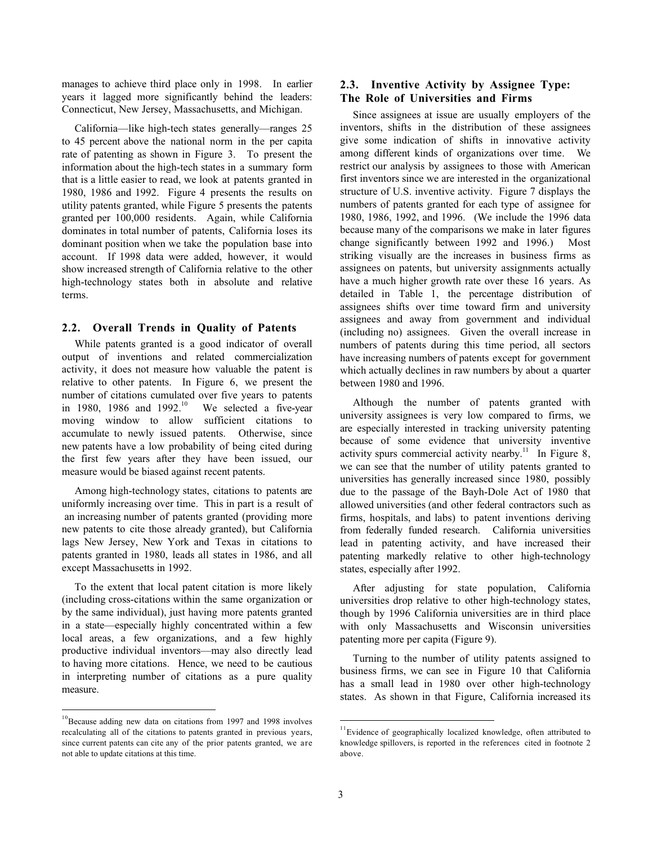manages to achieve third place only in 1998. In earlier years it lagged more significantly behind the leaders: Connecticut, New Jersey, Massachusetts, and Michigan.

California—like high-tech states generally—ranges 25 to 45 percent above the national norm in the per capita rate of patenting as shown in Figure 3. To present the information about the high-tech states in a summary form that is a little easier to read, we look at patents granted in 1980, 1986 and 1992. Figure 4 presents the results on utility patents granted, while Figure 5 presents the patents granted per 100,000 residents. Again, while California dominates in total number of patents, California loses its dominant position when we take the population base into account. If 1998 data were added, however, it would show increased strength of California relative to the other high-technology states both in absolute and relative terms.

### **2.2. Overall Trends in Quality of Patents**

While patents granted is a good indicator of overall output of inventions and related commercialization activity, it does not measure how valuable the patent is relative to other patents. In Figure 6, we present the number of citations cumulated over five years to patents in 1980, 1986 and 1992. $^{10}$  We selected a five-year moving window to allow sufficient citations to accumulate to newly issued patents. Otherwise, since new patents have a low probability of being cited during the first few years after they have been issued, our measure would be biased against recent patents.

Among high-technology states, citations to patents are uniformly increasing over time. This in part is a result of an increasing number of patents granted (providing more new patents to cite those already granted), but California lags New Jersey, New York and Texas in citations to patents granted in 1980, leads all states in 1986, and all except Massachusetts in 1992.

To the extent that local patent citation is more likely (including cross-citations within the same organization or by the same individual), just having more patents granted in a state—especially highly concentrated within a few local areas, a few organizations, and a few highly productive individual inventors—may also directly lead to having more citations. Hence, we need to be cautious in interpreting number of citations as a pure quality measure.

 $\overline{\phantom{a}}$ 

## **2.3. Inventive Activity by Assignee Type: The Role of Universities and Firms**

Since assignees at issue are usually employers of the inventors, shifts in the distribution of these assignees give some indication of shifts in innovative activity among different kinds of organizations over time. We restrict our analysis by assignees to those with American first inventors since we are interested in the organizational structure of U.S. inventive activity. Figure 7 displays the numbers of patents granted for each type of assignee for 1980, 1986, 1992, and 1996. (We include the 1996 data because many of the comparisons we make in later figures change significantly between 1992 and 1996.) Most striking visually are the increases in business firms as assignees on patents, but university assignments actually have a much higher growth rate over these 16 years. As detailed in Table 1, the percentage distribution of assignees shifts over time toward firm and university assignees and away from government and individual (including no) assignees. Given the overall increase in numbers of patents during this time period, all sectors have increasing numbers of patents except for government which actually declines in raw numbers by about a quarter between 1980 and 1996.

Although the number of patents granted with university assignees is very low compared to firms, we are especially interested in tracking university patenting because of some evidence that university inventive activity spurs commercial activity nearby.<sup>11</sup> In Figure 8, we can see that the number of utility patents granted to universities has generally increased since 1980, possibly due to the passage of the Bayh-Dole Act of 1980 that allowed universities (and other federal contractors such as firms, hospitals, and labs) to patent inventions deriving from federally funded research. California universities lead in patenting activity, and have increased their patenting markedly relative to other high-technology states, especially after 1992.

After adjusting for state population, California universities drop relative to other high-technology states, though by 1996 California universities are in third place with only Massachusetts and Wisconsin universities patenting more per capita (Figure 9).

Turning to the number of utility patents assigned to business firms, we can see in Figure 10 that California has a small lead in 1980 over other high-technology states. As shown in that Figure, California increased its

 $\overline{\phantom{a}}$ 

<sup>&</sup>lt;sup>10</sup>Because adding new data on citations from 1997 and 1998 involves recalculating all of the citations to patents granted in previous years, since current patents can cite any of the prior patents granted, we are not able to update citations at this time.

<sup>&</sup>lt;sup>11</sup>Evidence of geographically localized knowledge, often attributed to knowledge spillovers, is reported in the references cited in footnote 2 above.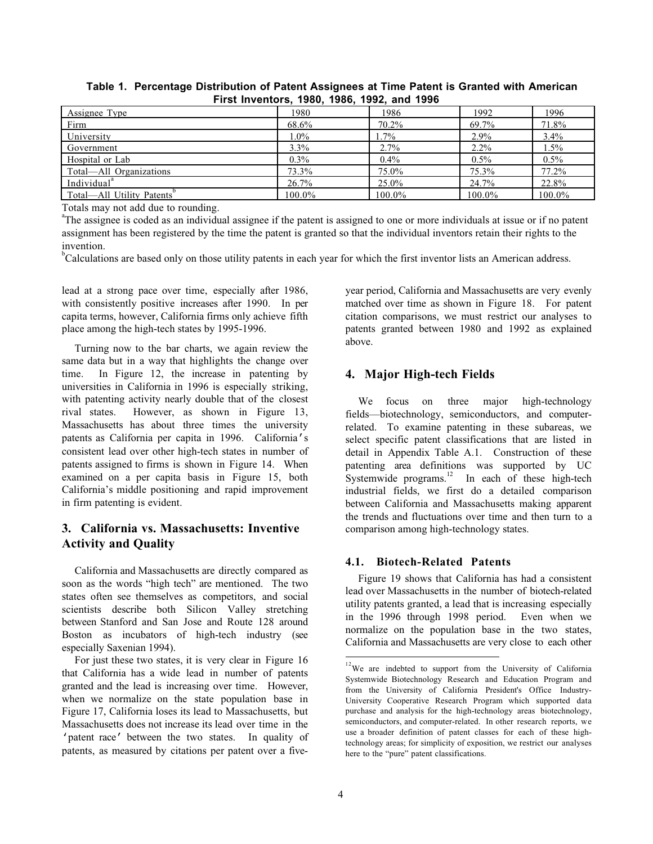| Assignee Type             | 1980     | 1986    | 1992    | 1996     |
|---------------------------|----------|---------|---------|----------|
| Firm                      | 68.6%    | 70.2%   | 69.7%   | 71.8%    |
| University                | $1.0\%$  | 1.7%    | 2.9%    | 3.4%     |
| Government                | $3.3\%$  | 2.7%    | $2.2\%$ | $1.5\%$  |
| Hospital or Lab           | $0.3\%$  | $0.4\%$ | $0.5\%$ | $0.5\%$  |
| Total—All Organizations   | 73.3%    | 75.0%   | 75.3%   | $77.2\%$ |
| Individual <sup>a</sup>   | $26.7\%$ | 25.0%   | 24.7%   | 22.8%    |
| Total—All Utility Patents | 100.0%   | 100.0%  | 100.0%  | 100.0%   |

**Table 1. Percentage Distribution of Patent Assignees at Time Patent is Granted with American First Inventors, 1980, 1986, 1992, and 1996**

Totals may not add due to rounding.

<sup>a</sup>The assignee is coded as an individual assignee if the patent is assigned to one or more individuals at issue or if no patent assignment has been registered by the time the patent is granted so that the individual inventors retain their rights to the invention.

<sup>b</sup>Calculations are based only on those utility patents in each year for which the first inventor lists an American address.

lead at a strong pace over time, especially after 1986, with consistently positive increases after 1990. In per capita terms, however, California firms only achieve fifth place among the high-tech states by 1995-1996.

Turning now to the bar charts, we again review the same data but in a way that highlights the change over time. In Figure 12, the increase in patenting by universities in California in 1996 is especially striking, with patenting activity nearly double that of the closest rival states. However, as shown in Figure 13, Massachusetts has about three times the university patents as California per capita in 1996. California's consistent lead over other high-tech states in number of patents assigned to firms is shown in Figure 14. When examined on a per capita basis in Figure 15, both California's middle positioning and rapid improvement in firm patenting is evident.

# **3. California vs. Massachusetts: Inventive Activity and Quality**

California and Massachusetts are directly compared as soon as the words "high tech" are mentioned. The two states often see themselves as competitors, and social scientists describe both Silicon Valley stretching between Stanford and San Jose and Route 128 around Boston as incubators of high-tech industry (see especially Saxenian 1994).

For just these two states, it is very clear in Figure 16 that California has a wide lead in number of patents granted and the lead is increasing over time. However, when we normalize on the state population base in Figure 17, California loses its lead to Massachusetts, but Massachusetts does not increase its lead over time in the 'patent race' between the two states. In quality of patents, as measured by citations per patent over a fiveyear period, California and Massachusetts are very evenly matched over time as shown in Figure 18. For patent citation comparisons, we must restrict our analyses to patents granted between 1980 and 1992 as explained above.

# **4. Major High-tech Fields**

We focus on three major high-technology fields—biotechnology, semiconductors, and computerrelated. To examine patenting in these subareas, we select specific patent classifications that are listed in detail in Appendix Table A.1. Construction of these patenting area definitions was supported by UC Systemwide programs.<sup>12</sup> In each of these high-tech industrial fields, we first do a detailed comparison between California and Massachusetts making apparent the trends and fluctuations over time and then turn to a comparison among high-technology states.

# **4.1. Biotech-Related Patents**

Figure 19 shows that California has had a consistent lead over Massachusetts in the number of biotech-related utility patents granted, a lead that is increasing especially in the 1996 through 1998 period. Even when we normalize on the population base in the two states, California and Massachusetts are very close to each other

 $\overline{\phantom{a}}$ 

 $12$ We are indebted to support from the University of California Systemwide Biotechnology Research and Education Program and from the University of California President's Office Industry-University Cooperative Research Program which supported data purchase and analysis for the high-technology areas biotechnology, semiconductors, and computer-related. In other research reports, we use a broader definition of patent classes for each of these hightechnology areas; for simplicity of exposition, we restrict our analyses here to the "pure" patent classifications.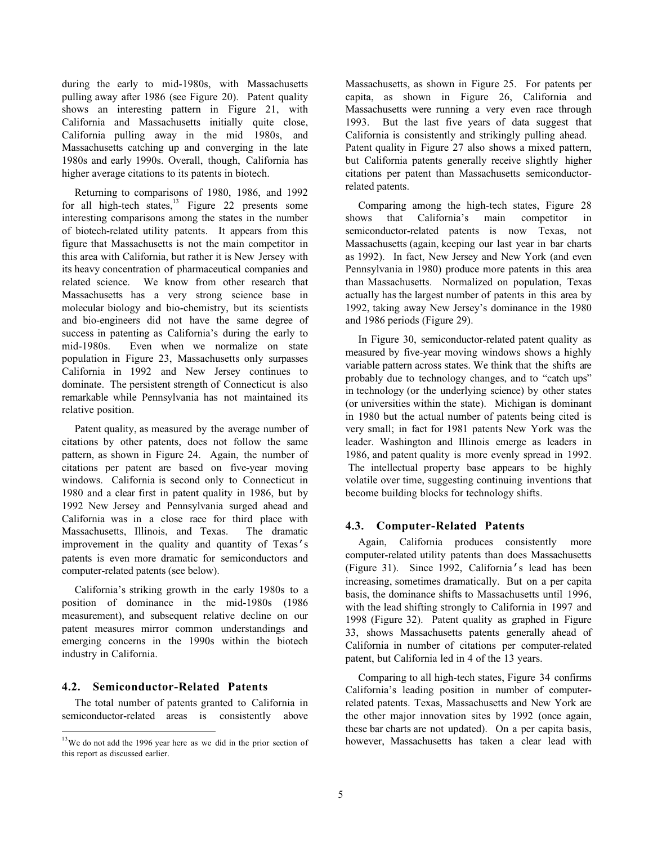during the early to mid-1980s, with Massachusetts pulling away after 1986 (see Figure 20). Patent quality shows an interesting pattern in Figure 21, with California and Massachusetts initially quite close, California pulling away in the mid 1980s, and Massachusetts catching up and converging in the late 1980s and early 1990s. Overall, though, California has higher average citations to its patents in biotech.

Returning to comparisons of 1980, 1986, and 1992 for all high-tech states, $^{13}$  Figure 22 presents some interesting comparisons among the states in the number of biotech-related utility patents. It appears from this figure that Massachusetts is not the main competitor in this area with California, but rather it is New Jersey with its heavy concentration of pharmaceutical companies and related science. We know from other research that Massachusetts has a very strong science base in molecular biology and bio-chemistry, but its scientists and bio-engineers did not have the same degree of success in patenting as California's during the early to mid-1980s. Even when we normalize on state population in Figure 23, Massachusetts only surpasses California in 1992 and New Jersey continues to dominate. The persistent strength of Connecticut is also remarkable while Pennsylvania has not maintained its relative position.

Patent quality, as measured by the average number of citations by other patents, does not follow the same pattern, as shown in Figure 24. Again, the number of citations per patent are based on five-year moving windows. California is second only to Connecticut in 1980 and a clear first in patent quality in 1986, but by 1992 New Jersey and Pennsylvania surged ahead and California was in a close race for third place with Massachusetts, Illinois, and Texas. The dramatic improvement in the quality and quantity of Texas's patents is even more dramatic for semiconductors and computer-related patents (see below).

California's striking growth in the early 1980s to a position of dominance in the mid-1980s (1986 measurement), and subsequent relative decline on our patent measures mirror common understandings and emerging concerns in the 1990s within the biotech industry in California.

### **4.2. Semiconductor-Related Patents**

 $\frac{1}{1}$ 

The total number of patents granted to California in semiconductor-related areas is consistently above Massachusetts, as shown in Figure 25. For patents per capita, as shown in Figure 26, California and Massachusetts were running a very even race through 1993. But the last five years of data suggest that California is consistently and strikingly pulling ahead. Patent quality in Figure 27 also shows a mixed pattern, but California patents generally receive slightly higher citations per patent than Massachusetts semiconductorrelated patents.

Comparing among the high-tech states, Figure 28 shows that California's main competitor in semiconductor-related patents is now Texas, not Massachusetts (again, keeping our last year in bar charts as 1992). In fact, New Jersey and New York (and even Pennsylvania in 1980) produce more patents in this area than Massachusetts. Normalized on population, Texas actually has the largest number of patents in this area by 1992, taking away New Jersey's dominance in the 1980 and 1986 periods (Figure 29).

In Figure 30, semiconductor-related patent quality as measured by five-year moving windows shows a highly variable pattern across states. We think that the shifts are probably due to technology changes, and to "catch ups" in technology (or the underlying science) by other states (or universities within the state). Michigan is dominant in 1980 but the actual number of patents being cited is very small; in fact for 1981 patents New York was the leader. Washington and Illinois emerge as leaders in 1986, and patent quality is more evenly spread in 1992. The intellectual property base appears to be highly volatile over time, suggesting continuing inventions that become building blocks for technology shifts.

### **4.3. Computer-Related Patents**

Again, California produces consistently more computer-related utility patents than does Massachusetts (Figure 31). Since 1992, California's lead has been increasing, sometimes dramatically. But on a per capita basis, the dominance shifts to Massachusetts until 1996, with the lead shifting strongly to California in 1997 and 1998 (Figure 32). Patent quality as graphed in Figure 33, shows Massachusetts patents generally ahead of California in number of citations per computer-related patent, but California led in 4 of the 13 years.

Comparing to all high-tech states, Figure 34 confirms California's leading position in number of computerrelated patents. Texas, Massachusetts and New York are the other major innovation sites by 1992 (once again, these bar charts are not updated). On a per capita basis, however, Massachusetts has taken a clear lead with

 $13$ We do not add the 1996 year here as we did in the prior section of this report as discussed earlier.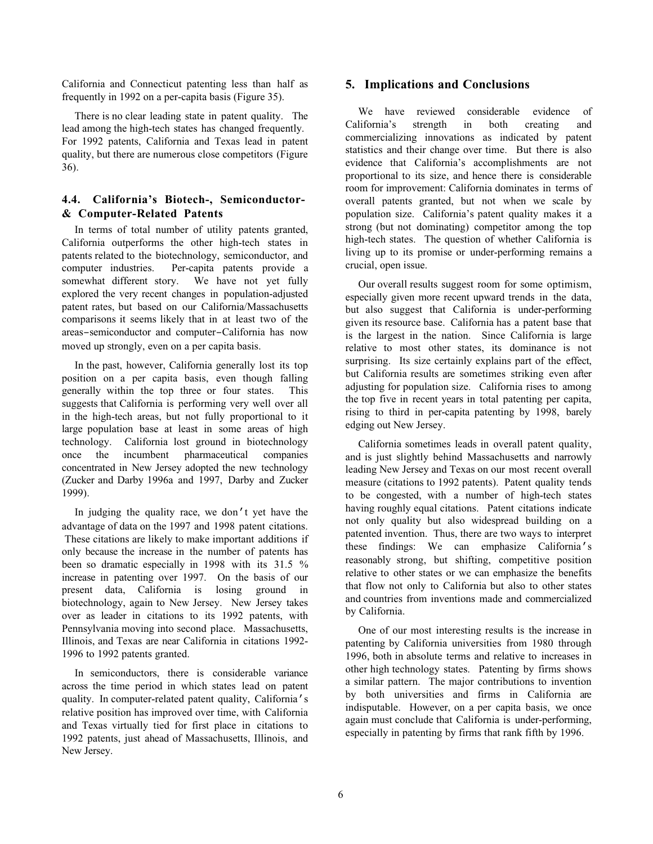California and Connecticut patenting less than half as frequently in 1992 on a per-capita basis (Figure 35).

There is no clear leading state in patent quality. The lead among the high-tech states has changed frequently. For 1992 patents, California and Texas lead in patent quality, but there are numerous close competitors (Figure 36).

# **4.4. California's Biotech-, Semiconductor- & Computer-Related Patents**

In terms of total number of utility patents granted, California outperforms the other high-tech states in patents related to the biotechnology, semiconductor, and computer industries. Per-capita patents provide a somewhat different story. We have not yet fully explored the very recent changes in population-adjusted patent rates, but based on our California/Massachusetts comparisons it seems likely that in at least two of the areas–semiconductor and computer–California has now moved up strongly, even on a per capita basis.

In the past, however, California generally lost its top position on a per capita basis, even though falling generally within the top three or four states. This suggests that California is performing very well over all in the high-tech areas, but not fully proportional to it large population base at least in some areas of high technology. California lost ground in biotechnology once the incumbent pharmaceutical companies concentrated in New Jersey adopted the new technology (Zucker and Darby 1996a and 1997, Darby and Zucker 1999).

In judging the quality race, we don't yet have the advantage of data on the 1997 and 1998 patent citations. These citations are likely to make important additions if only because the increase in the number of patents has been so dramatic especially in 1998 with its 31.5 % increase in patenting over 1997. On the basis of our present data, California is losing ground in biotechnology, again to New Jersey. New Jersey takes over as leader in citations to its 1992 patents, with Pennsylvania moving into second place. Massachusetts, Illinois, and Texas are near California in citations 1992- 1996 to 1992 patents granted.

In semiconductors, there is considerable variance across the time period in which states lead on patent quality. In computer-related patent quality, California's relative position has improved over time, with California and Texas virtually tied for first place in citations to 1992 patents, just ahead of Massachusetts, Illinois, and New Jersey.

### **5. Implications and Conclusions**

We have reviewed considerable evidence of California's strength in both creating and commercializing innovations as indicated by patent statistics and their change over time. But there is also evidence that California's accomplishments are not proportional to its size, and hence there is considerable room for improvement: California dominates in terms of overall patents granted, but not when we scale by population size. California's patent quality makes it a strong (but not dominating) competitor among the top high-tech states. The question of whether California is living up to its promise or under-performing remains a crucial, open issue.

Our overall results suggest room for some optimism, especially given more recent upward trends in the data, but also suggest that California is under-performing given its resource base. California has a patent base that is the largest in the nation. Since California is large relative to most other states, its dominance is not surprising. Its size certainly explains part of the effect, but California results are sometimes striking even after adjusting for population size. California rises to among the top five in recent years in total patenting per capita, rising to third in per-capita patenting by 1998, barely edging out New Jersey.

California sometimes leads in overall patent quality, and is just slightly behind Massachusetts and narrowly leading New Jersey and Texas on our most recent overall measure (citations to 1992 patents). Patent quality tends to be congested, with a number of high-tech states having roughly equal citations. Patent citations indicate not only quality but also widespread building on a patented invention. Thus, there are two ways to interpret these findings: We can emphasize California's reasonably strong, but shifting, competitive position relative to other states or we can emphasize the benefits that flow not only to California but also to other states and countries from inventions made and commercialized by California.

One of our most interesting results is the increase in patenting by California universities from 1980 through 1996, both in absolute terms and relative to increases in other high technology states. Patenting by firms shows a similar pattern. The major contributions to invention by both universities and firms in California are indisputable. However, on a per capita basis, we once again must conclude that California is under-performing, especially in patenting by firms that rank fifth by 1996.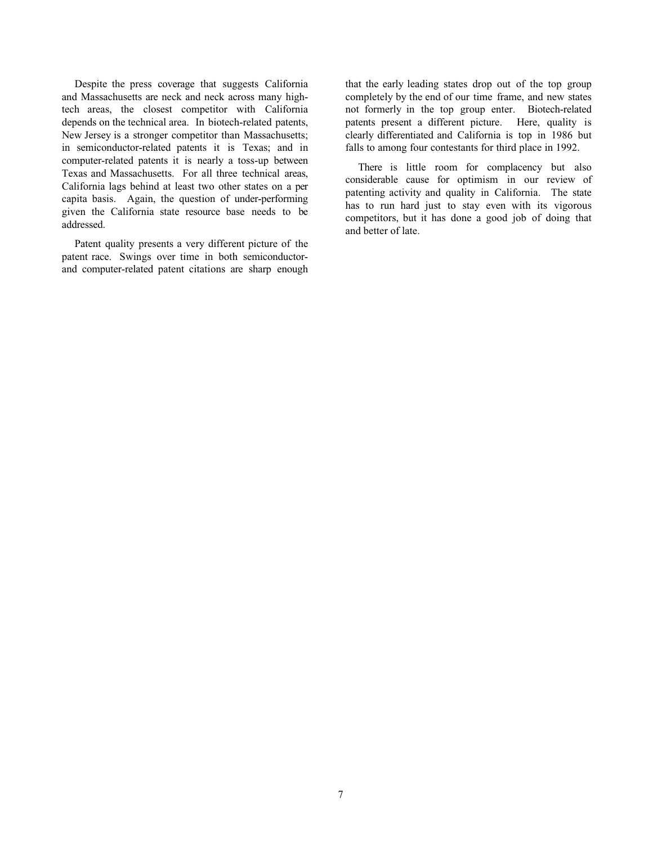Despite the press coverage that suggests California and Massachusetts are neck and neck across many hightech areas, the closest competitor with California depends on the technical area. In biotech-related patents, New Jersey is a stronger competitor than Massachusetts; in semiconductor-related patents it is Texas; and in computer-related patents it is nearly a toss-up between Texas and Massachusetts. For all three technical areas, California lags behind at least two other states on a per capita basis. Again, the question of under-performing given the California state resource base needs to be addressed.

Patent quality presents a very different picture of the patent race. Swings over time in both semiconductorand computer-related patent citations are sharp enough

that the early leading states drop out of the top group completely by the end of our time frame, and new states not formerly in the top group enter. Biotech-related patents present a different picture. Here, quality is clearly differentiated and California is top in 1986 but falls to among four contestants for third place in 1992.

There is little room for complacency but also considerable cause for optimism in our review of patenting activity and quality in California. The state has to run hard just to stay even with its vigorous competitors, but it has done a good job of doing that and better of late.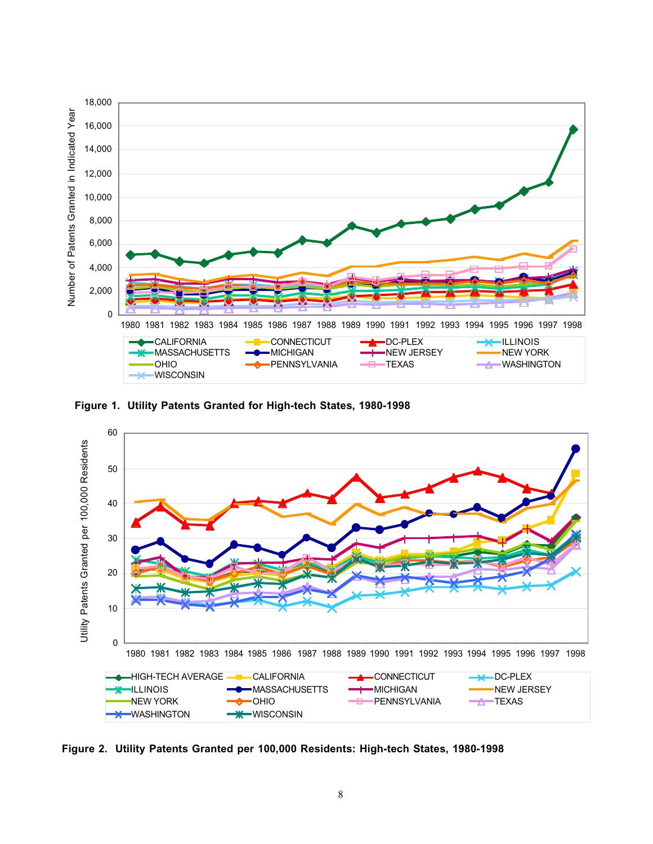

**Figure 1. Utility Patents Granted for High-tech States, 1980-1998**



**Figure 2. Utility Patents Granted per 100,000 Residents: High-tech States, 1980-1998**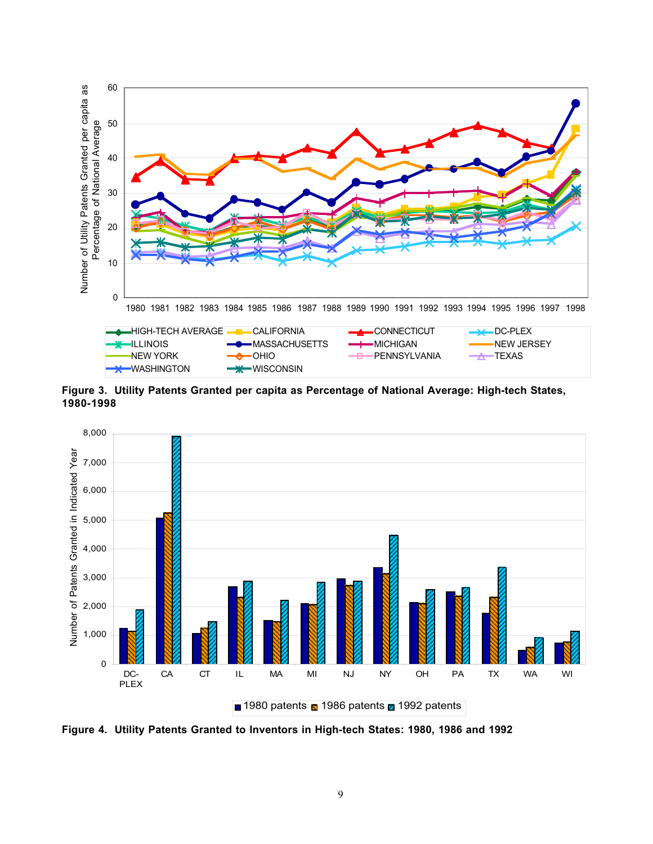

**Figure 3. Utility Patents Granted per capita as Percentage of National Average: High-tech States, 1980-1998**



**Figure 4. Utility Patents Granted to Inventors in High-tech States: 1980, 1986 and 1992**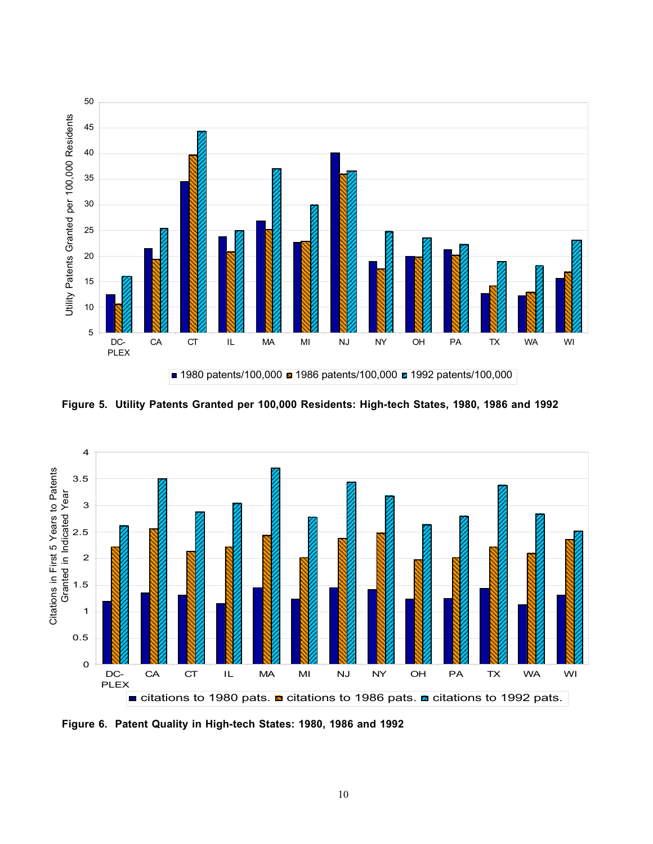

**Figure 5. Utility Patents Granted per 100,000 Residents: High-tech States, 1980, 1986 and 1992**



**Figure 6. Patent Quality in High-tech States: 1980, 1986 and 1992**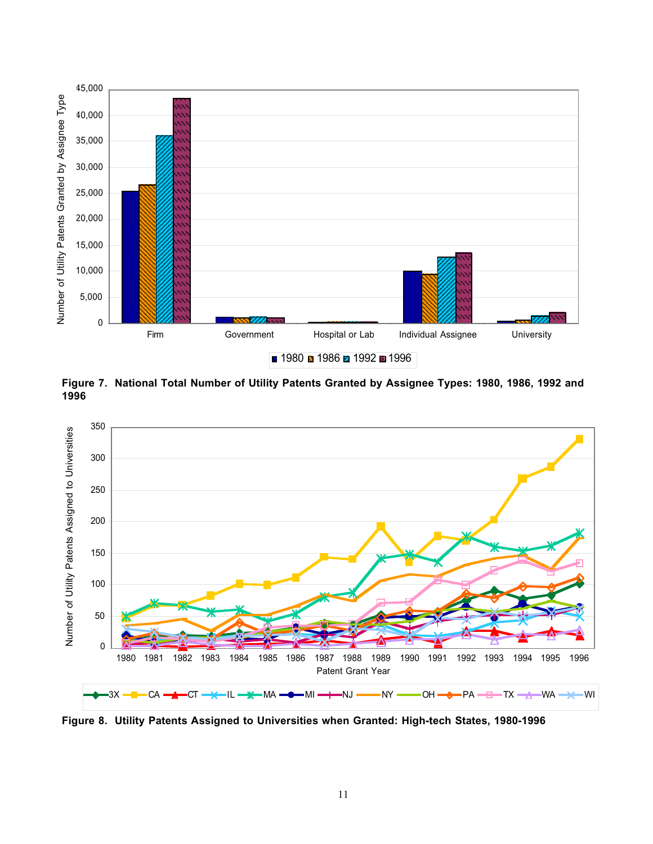

**Figure 7. National Total Number of Utility Patents Granted by Assignee Types: 1980, 1986, 1992 and 1996** 



**Figure 8. Utility Patents Assigned to Universities when Granted: High-tech States, 1980-1996**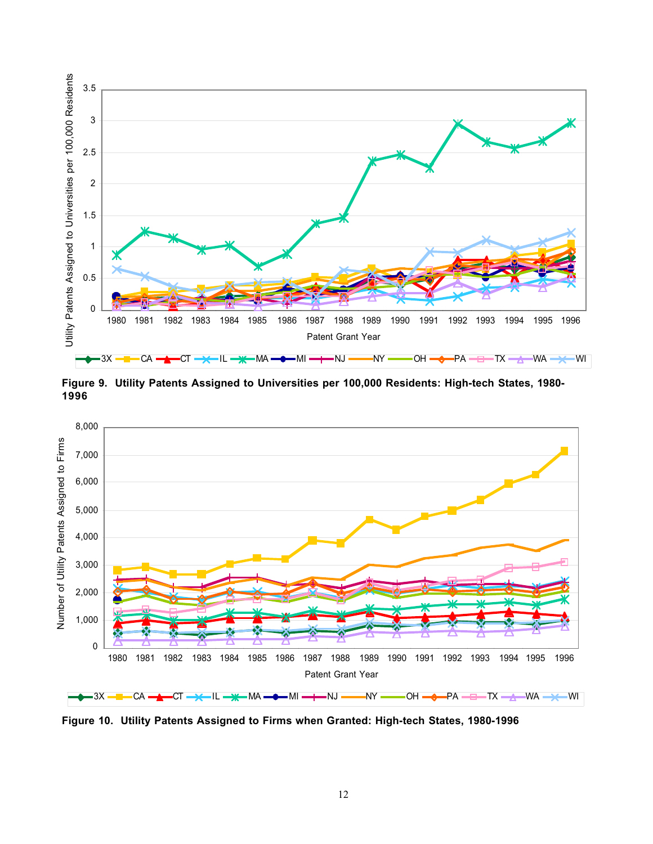

**Figure 9. Utility Patents Assigned to Universities per 100,000 Residents: High-tech States, 1980- 1996**



**Figure 10. Utility Patents Assigned to Firms when Granted: High-tech States, 1980-1996**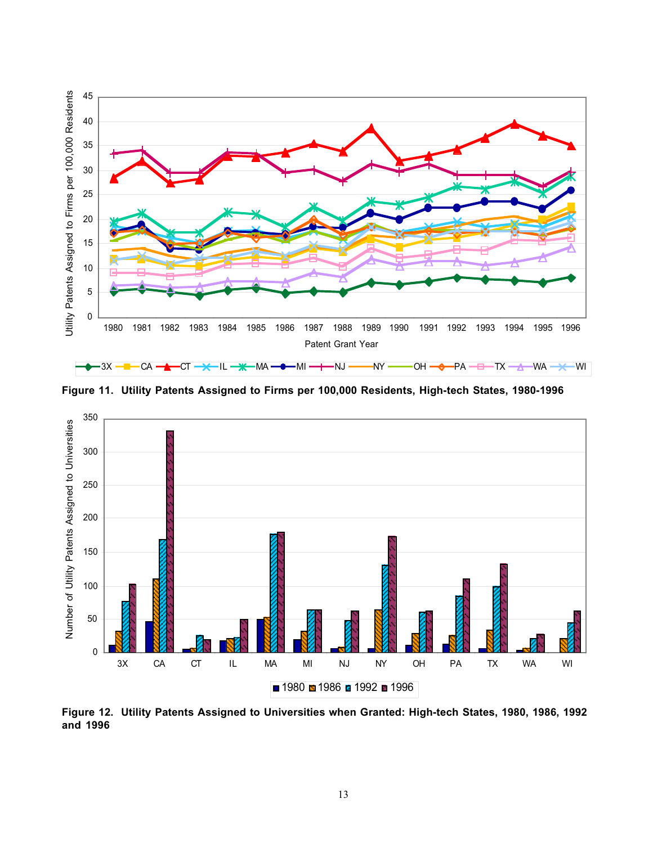

**Figure 11. Utility Patents Assigned to Firms per 100,000 Residents, High-tech States, 1980-1996**



**Figure 12. Utility Patents Assigned to Universities when Granted: High-tech States, 1980, 1986, 1992 and 1996**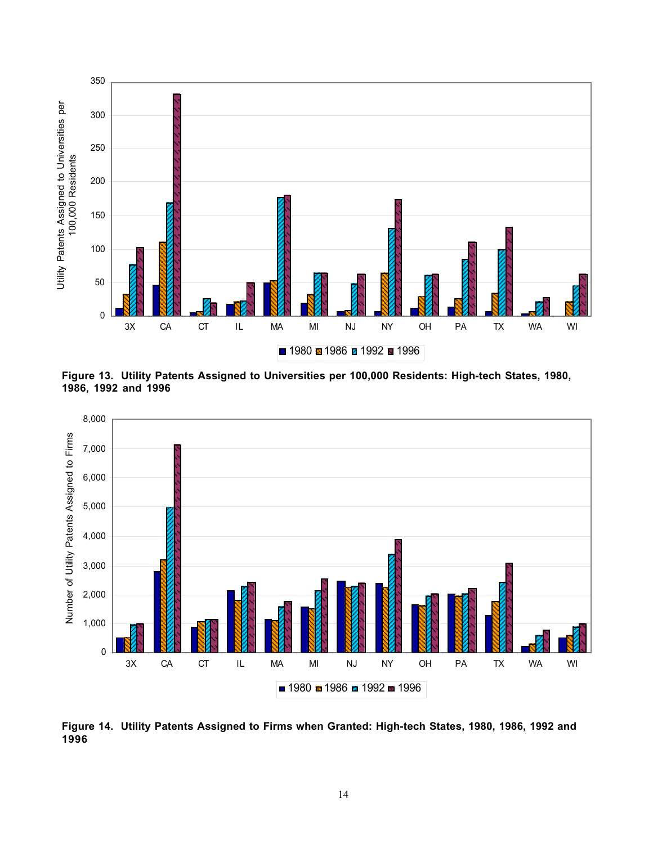

**Figure 13. Utility Patents Assigned to Universities per 100,000 Residents: High-tech States, 1980, 1986, 1992 and 1996**



**Figure 14. Utility Patents Assigned to Firms when Granted: High-tech States, 1980, 1986, 1992 and 1996**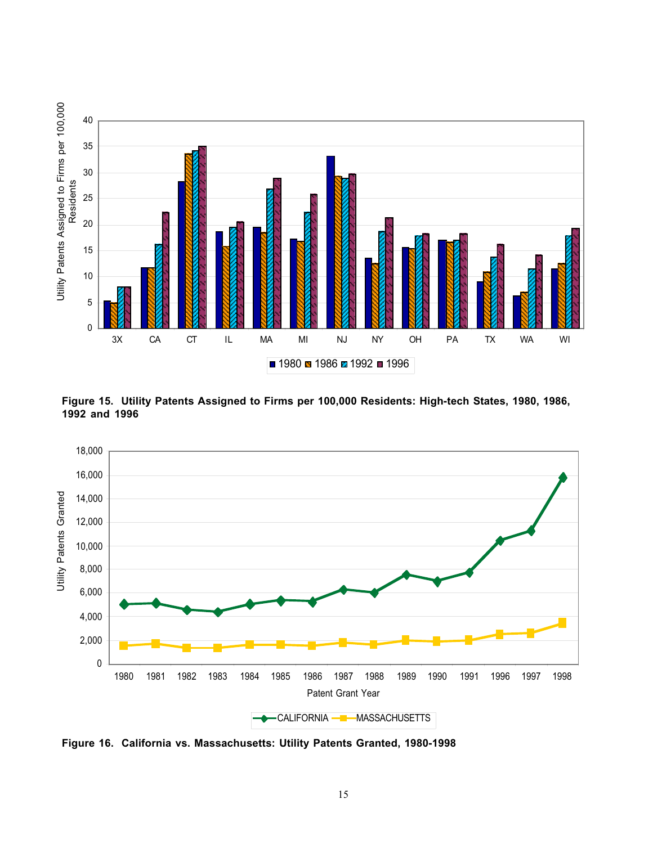

**Figure 15. Utility Patents Assigned to Firms per 100,000 Residents: High-tech States, 1980, 1986, 1992 and 1996**



**Figure 16. California vs. Massachusetts: Utility Patents Granted, 1980-1998**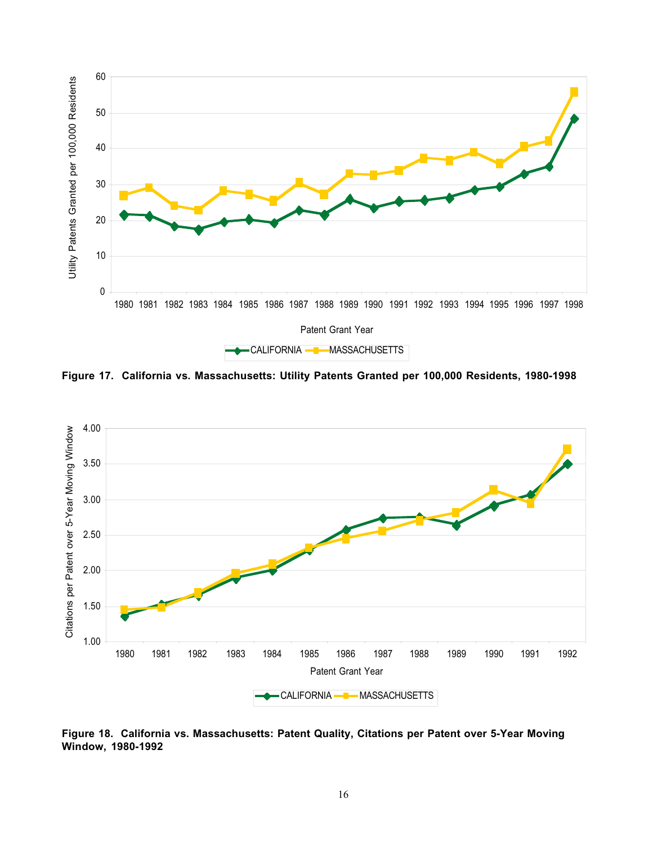

**Figure 17. California vs. Massachusetts: Utility Patents Granted per 100,000 Residents, 1980-1998**



**Figure 18. California vs. Massachusetts: Patent Quality, Citations per Patent over 5-Year Moving**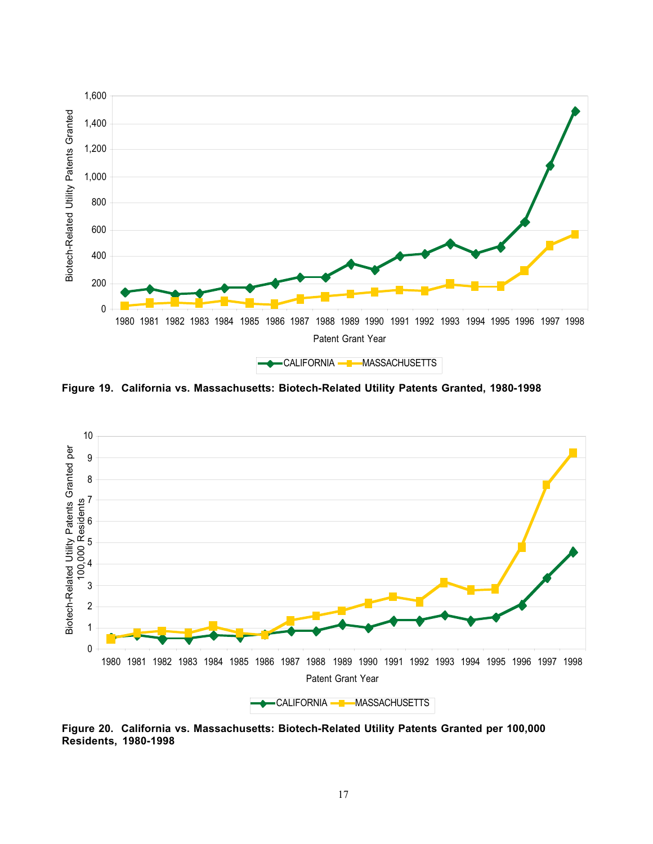

**Figure 19. California vs. Massachusetts: Biotech-Related Utility Patents Granted, 1980-1998**



**Figure 20. California vs. Massachusetts: Biotech-Related Utility Patents Granted per 100,000 Residents, 1980-1998**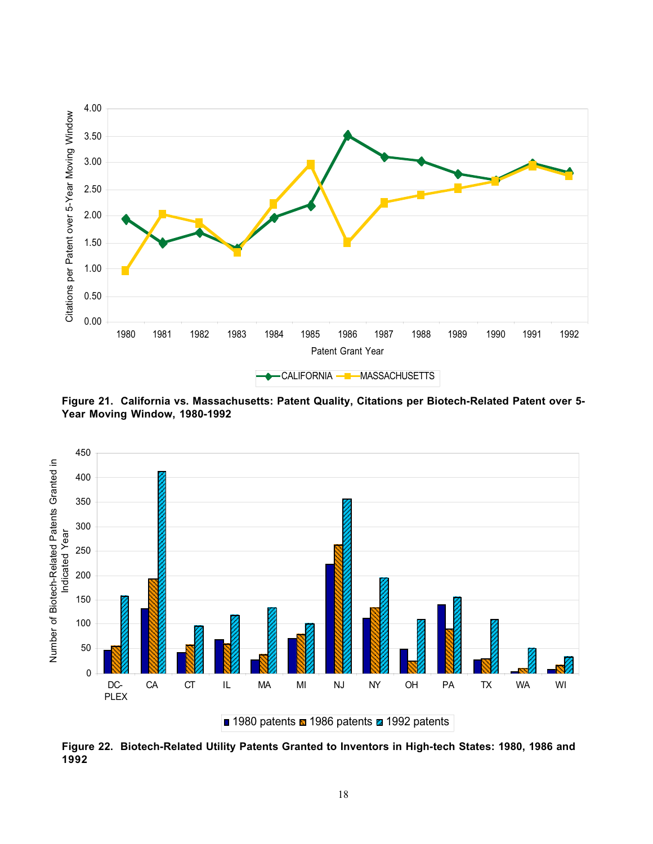

**Figure 21. California vs. Massachusetts: Patent Quality, Citations per Biotech-Related Patent over 5- Year Moving Window, 1980-1992**



**Figure 22. Biotech-Related Utility Patents Granted to Inventors in High-tech States: 1980, 1986 and 1992**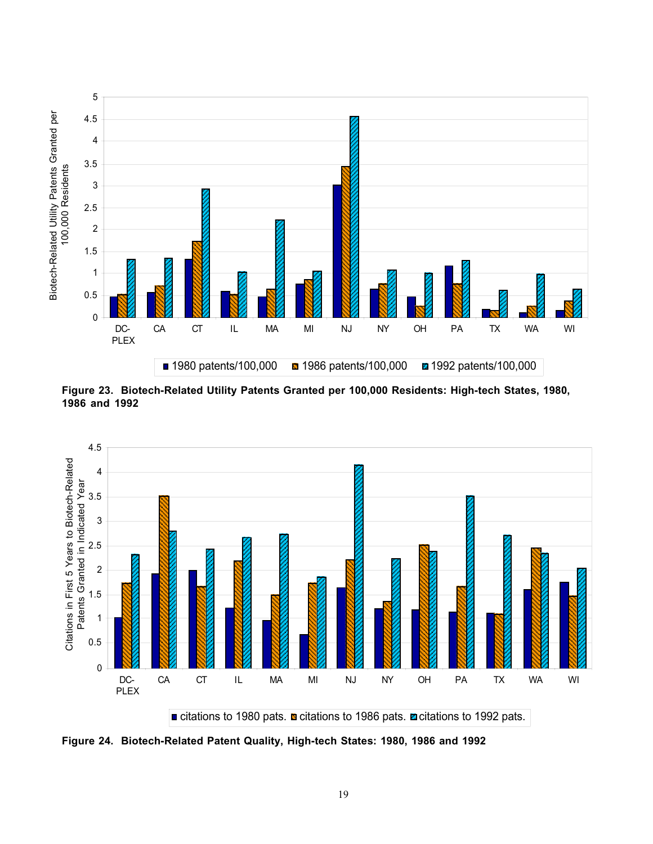

**Figure 23. Biotech-Related Utility Patents Granted per 100,000 Residents: High-tech States, 1980, 1986 and 1992**



**Figure 24. Biotech-Related Patent Quality, High-tech States: 1980, 1986 and 1992**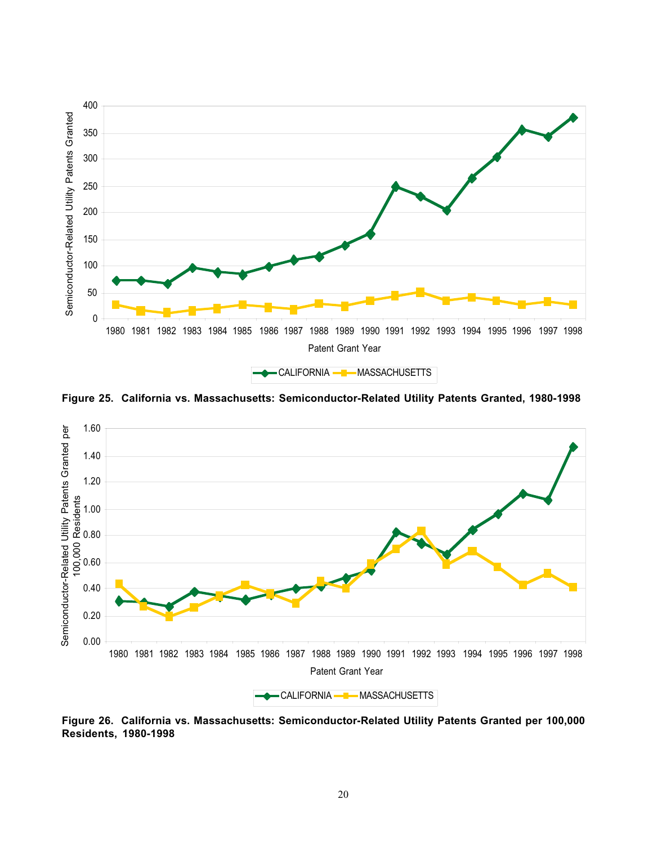

**Figure 25. California vs. Massachusetts: Semiconductor-Related Utility Patents Granted, 1980-1998**



**Figure 26. California vs. Massachusetts: Semiconductor-Related Utility Patents Granted per 100,000 Residents, 1980-1998**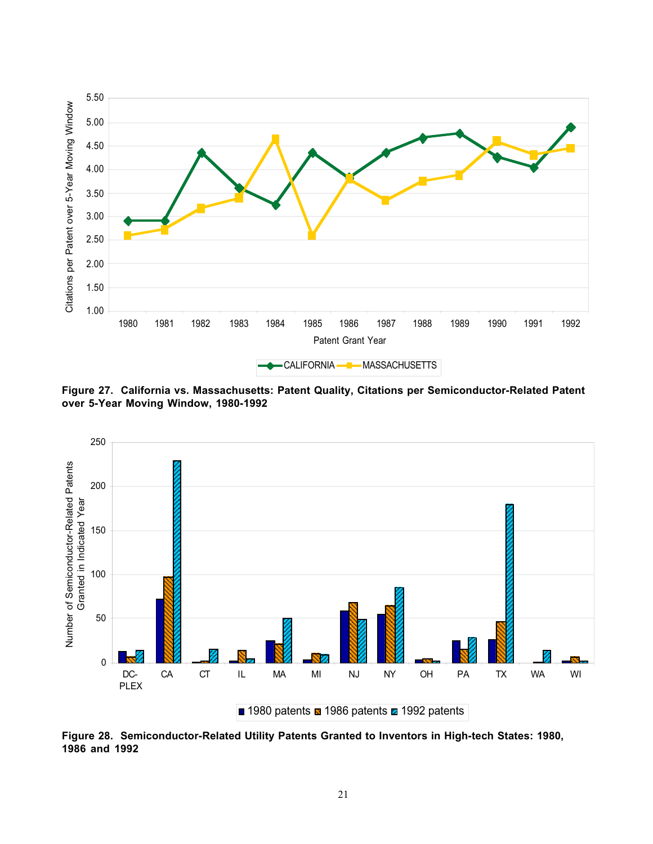

**Figure 27. California vs. Massachusetts: Patent Quality, Citations per Semiconductor-Related Patent over 5-Year Moving Window, 1980-1992**



**Figure 28. Semiconductor-Related Utility Patents Granted to Inventors in High-tech States: 1980, 1986 and 1992**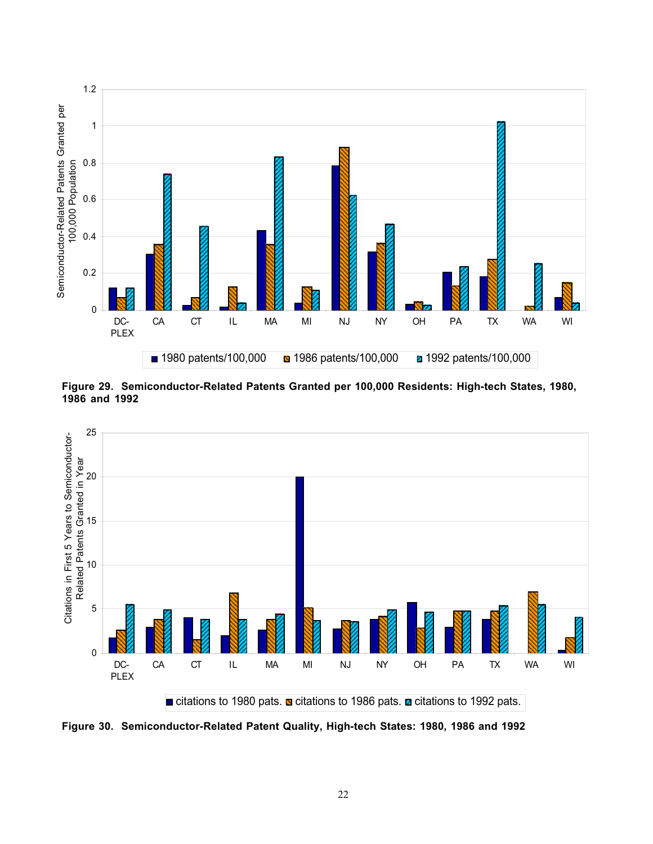

**Figure 29. Semiconductor-Related Patents Granted per 100,000 Residents: High-tech States, 1980, 1986 and 1992**



**Figure 30. Semiconductor-Related Patent Quality, High-tech States: 1980, 1986 and 1992**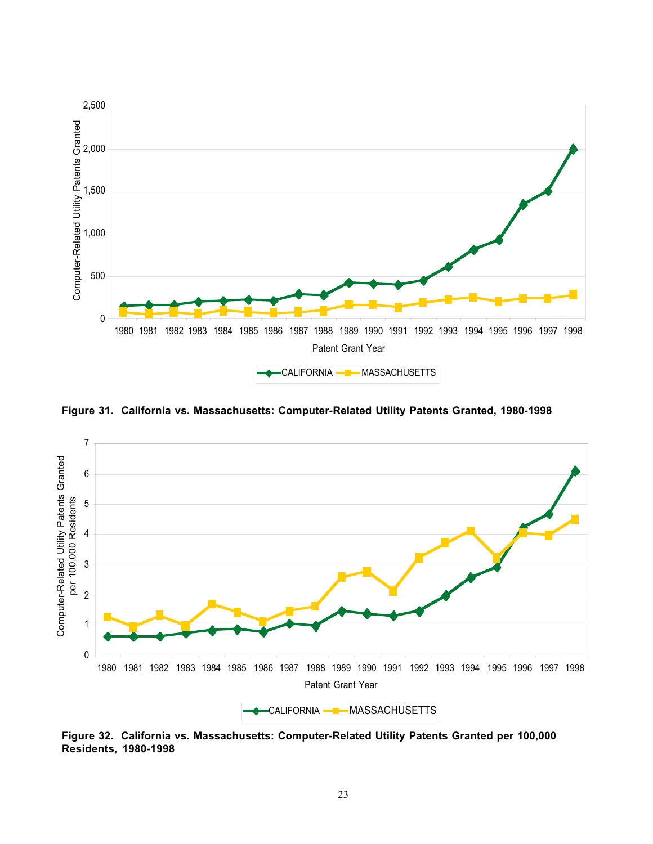

**Figure 31. California vs. Massachusetts: Computer-Related Utility Patents Granted, 1980-1998**



**Figure 32. California vs. Massachusetts: Computer-Related Utility Patents Granted per 100,000 Residents, 1980-1998**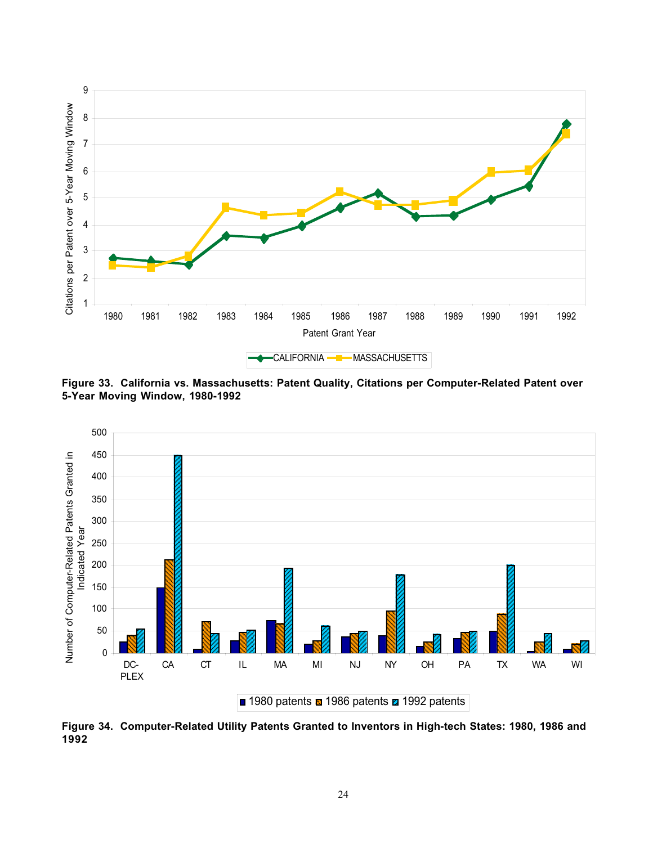

**Figure 33. California vs. Massachusetts: Patent Quality, Citations per Computer-Related Patent over 5-Year Moving Window, 1980-1992**



**Figure 34. Computer-Related Utility Patents Granted to Inventors in High-tech States: 1980, 1986 and**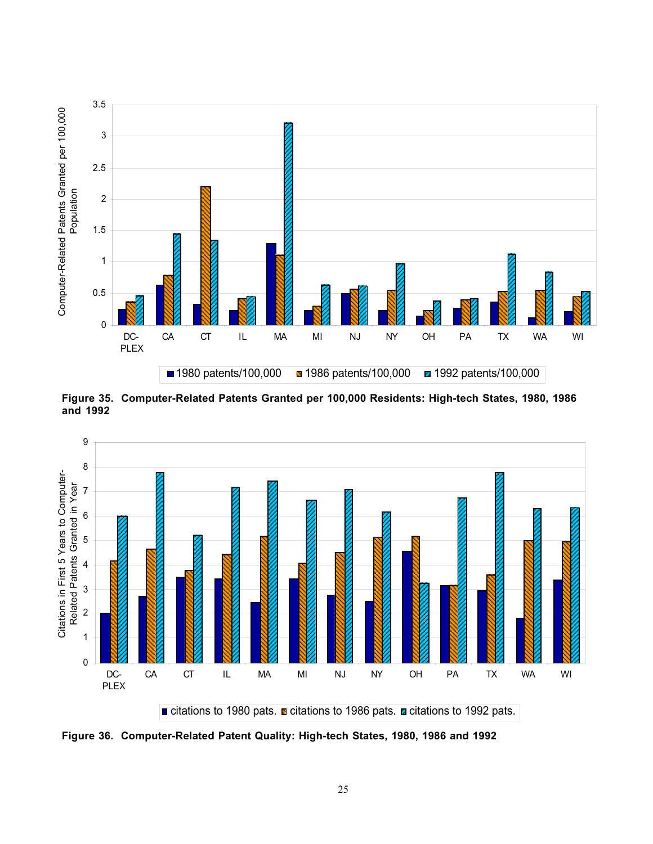

**Figure 35. Computer-Related Patents Granted per 100,000 Residents: High-tech States, 1980, 1986 and 1992**



**Figure 36. Computer-Related Patent Quality: High-tech States, 1980, 1986 and 1992**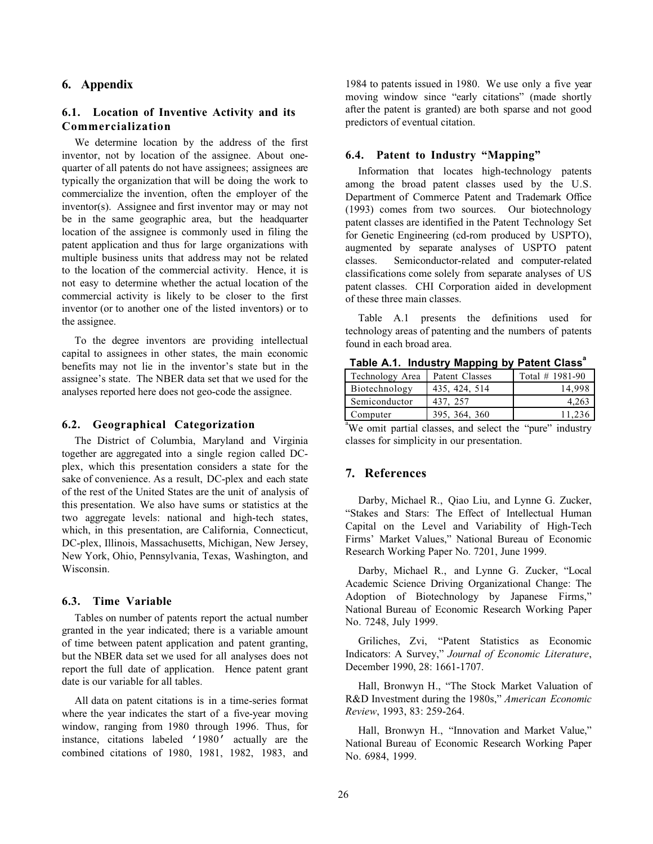### **6. Appendix**

## **6.1. Location of Inventive Activity and its Commercialization**

We determine location by the address of the first inventor, not by location of the assignee. About onequarter of all patents do not have assignees; assignees are typically the organization that will be doing the work to commercialize the invention, often the employer of the inventor(s). Assignee and first inventor may or may not be in the same geographic area, but the headquarter location of the assignee is commonly used in filing the patent application and thus for large organizations with multiple business units that address may not be related to the location of the commercial activity. Hence, it is not easy to determine whether the actual location of the commercial activity is likely to be closer to the first inventor (or to another one of the listed inventors) or to the assignee.

To the degree inventors are providing intellectual capital to assignees in other states, the main economic benefits may not lie in the inventor's state but in the assignee's state. The NBER data set that we used for the analyses reported here does not geo-code the assignee.

### **6.2. Geographical Categorization**

The District of Columbia, Maryland and Virginia together are aggregated into a single region called DCplex, which this presentation considers a state for the sake of convenience. As a result, DC-plex and each state of the rest of the United States are the unit of analysis of this presentation. We also have sums or statistics at the two aggregate levels: national and high-tech states, which, in this presentation, are California, Connecticut, DC-plex, Illinois, Massachusetts, Michigan, New Jersey, New York, Ohio, Pennsylvania, Texas, Washington, and Wisconsin.

#### **6.3. Time Variable**

Tables on number of patents report the actual number granted in the year indicated; there is a variable amount of time between patent application and patent granting, but the NBER data set we used for all analyses does not report the full date of application. Hence patent grant date is our variable for all tables.

All data on patent citations is in a time-series format where the year indicates the start of a five-year moving window, ranging from 1980 through 1996. Thus, for instance, citations labeled '1980' actually are the combined citations of 1980, 1981, 1982, 1983, and 1984 to patents issued in 1980. We use only a five year moving window since "early citations" (made shortly after the patent is granted) are both sparse and not good predictors of eventual citation.

#### **6.4. Patent to Industry "Mapping"**

Information that locates high-technology patents among the broad patent classes used by the U.S. Department of Commerce Patent and Trademark Office (1993) comes from two sources. Our biotechnology patent classes are identified in the Patent Technology Set for Genetic Engineering (cd-rom produced by USPTO), augmented by separate analyses of USPTO patent classes. Semiconductor-related and computer-related classifications come solely from separate analyses of US patent classes. CHI Corporation aided in development of these three main classes.

Table A.1 presents the definitions used for technology areas of patenting and the numbers of patents found in each broad area.

**Table A.1. Industry Mapping by Patent Class<sup>a</sup>**

| Technology Area | Patent Classes | Total $# 1981-90$ |
|-----------------|----------------|-------------------|
| Biotechnology   | 435, 424, 514  | 14.998            |
| Semiconductor   | 437, 257       | 4.263             |
| Computer        | 395, 364, 360  | 11.236            |

<sup>a</sup>We omit partial classes, and select the "pure" industry classes for simplicity in our presentation.

### **7. References**

Darby, Michael R., Qiao Liu, and Lynne G. Zucker, "Stakes and Stars: The Effect of Intellectual Human Capital on the Level and Variability of High-Tech Firms' Market Values," National Bureau of Economic Research Working Paper No. 7201, June 1999.

Darby, Michael R., and Lynne G. Zucker, "Local Academic Science Driving Organizational Change: The Adoption of Biotechnology by Japanese Firms," National Bureau of Economic Research Working Paper No. 7248, July 1999.

Griliches, Zvi, "Patent Statistics as Economic Indicators: A Survey," *Journal of Economic Literature*, December 1990, 28: 1661-1707.

Hall, Bronwyn H., "The Stock Market Valuation of R&D Investment during the 1980s," *American Economic Review*, 1993, 83: 259-264.

Hall, Bronwyn H., "Innovation and Market Value," National Bureau of Economic Research Working Paper No. 6984, 1999.